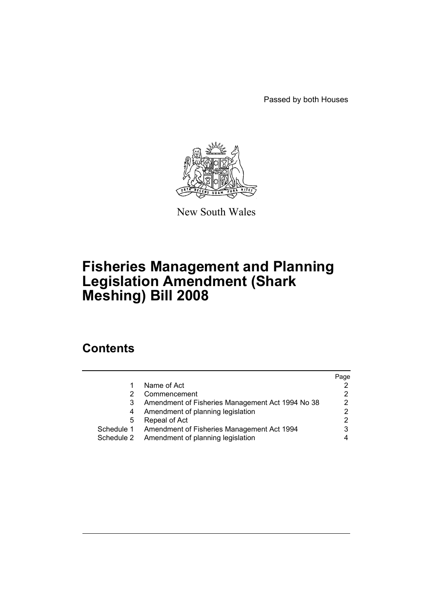Passed by both Houses



New South Wales

# **Fisheries Management and Planning Legislation Amendment (Shark Meshing) Bill 2008**

# **Contents**

|            |                                                  | Page |
|------------|--------------------------------------------------|------|
|            | Name of Act                                      |      |
|            | Commencement                                     |      |
|            | Amendment of Fisheries Management Act 1994 No 38 | 2    |
| 4          | Amendment of planning legislation                |      |
| 5          | Repeal of Act                                    |      |
| Schedule 1 | Amendment of Fisheries Management Act 1994       |      |
| Schedule 2 | Amendment of planning legislation                |      |
|            |                                                  |      |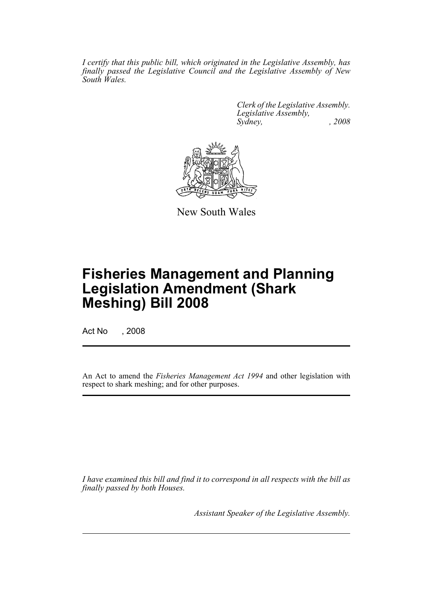*I certify that this public bill, which originated in the Legislative Assembly, has finally passed the Legislative Council and the Legislative Assembly of New South Wales.*

> *Clerk of the Legislative Assembly. Legislative Assembly, Sydney, , 2008*



New South Wales

# **Fisheries Management and Planning Legislation Amendment (Shark Meshing) Bill 2008**

Act No , 2008

An Act to amend the *Fisheries Management Act 1994* and other legislation with respect to shark meshing; and for other purposes.

*I have examined this bill and find it to correspond in all respects with the bill as finally passed by both Houses.*

*Assistant Speaker of the Legislative Assembly.*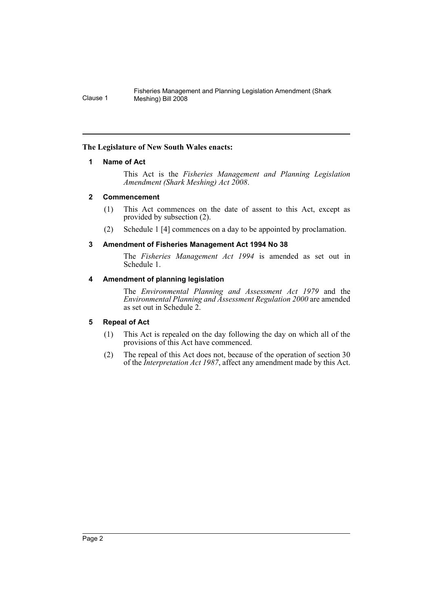## <span id="page-2-0"></span>**The Legislature of New South Wales enacts:**

# **1 Name of Act**

This Act is the *Fisheries Management and Planning Legislation Amendment (Shark Meshing) Act 2008*.

## <span id="page-2-1"></span>**2 Commencement**

- (1) This Act commences on the date of assent to this Act, except as provided by subsection (2).
- (2) Schedule 1 [4] commences on a day to be appointed by proclamation.

# <span id="page-2-2"></span>**3 Amendment of Fisheries Management Act 1994 No 38**

The *Fisheries Management Act 1994* is amended as set out in Schedule 1.

# <span id="page-2-3"></span>**4 Amendment of planning legislation**

The *Environmental Planning and Assessment Act 1979* and the *Environmental Planning and Assessment Regulation 2000* are amended as set out in Schedule 2.

## <span id="page-2-4"></span>**5 Repeal of Act**

- (1) This Act is repealed on the day following the day on which all of the provisions of this Act have commenced.
- (2) The repeal of this Act does not, because of the operation of section 30 of the *Interpretation Act 1987*, affect any amendment made by this Act.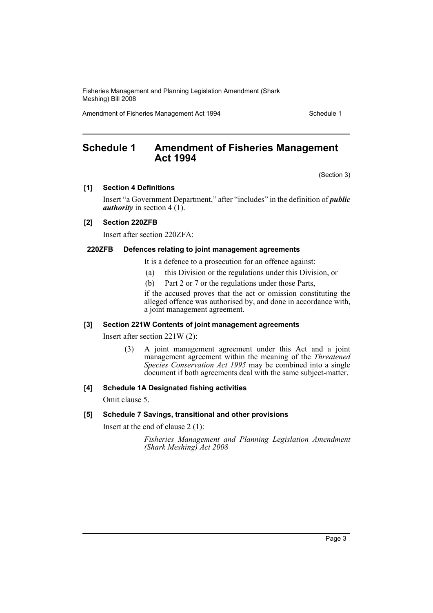Fisheries Management and Planning Legislation Amendment (Shark Meshing) Bill 2008

Amendment of Fisheries Management Act 1994

# <span id="page-3-0"></span>**Schedule 1 Amendment of Fisheries Management Act 1994**

(Section 3)

#### **[1] Section 4 Definitions**

Insert "a Government Department," after "includes" in the definition of *public authority* in section 4 (1).

### **[2] Section 220ZFB**

Insert after section 220ZFA:

#### **220ZFB Defences relating to joint management agreements**

It is a defence to a prosecution for an offence against:

- (a) this Division or the regulations under this Division, or
- (b) Part 2 or 7 or the regulations under those Parts,

if the accused proves that the act or omission constituting the alleged offence was authorised by, and done in accordance with, a joint management agreement.

#### **[3] Section 221W Contents of joint management agreements**

Insert after section 221W (2):

(3) A joint management agreement under this Act and a joint management agreement within the meaning of the *Threatened Species Conservation Act 1995* may be combined into a single document if both agreements deal with the same subject-matter.

#### **[4] Schedule 1A Designated fishing activities**

Omit clause 5.

#### **[5] Schedule 7 Savings, transitional and other provisions**

Insert at the end of clause 2 (1):

*Fisheries Management and Planning Legislation Amendment (Shark Meshing) Act 2008*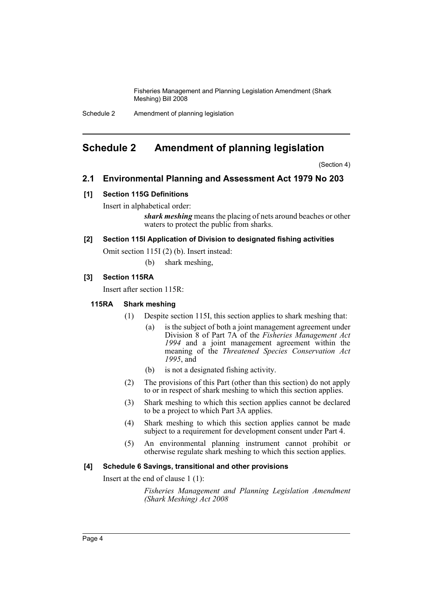Fisheries Management and Planning Legislation Amendment (Shark Meshing) Bill 2008

Schedule 2 Amendment of planning legislation

# <span id="page-4-0"></span>**Schedule 2 Amendment of planning legislation**

(Section 4)

# **2.1 Environmental Planning and Assessment Act 1979 No 203**

## **[1] Section 115G Definitions**

Insert in alphabetical order:

*shark meshing* means the placing of nets around beaches or other waters to protect the public from sharks.

#### **[2] Section 115I Application of Division to designated fishing activities**

Omit section 115I (2) (b). Insert instead:

(b) shark meshing,

#### **[3] Section 115RA**

Insert after section 115R:

#### **115RA Shark meshing**

- (1) Despite section 115I, this section applies to shark meshing that:
	- (a) is the subject of both a joint management agreement under Division 8 of Part 7A of the *Fisheries Management Act 1994* and a joint management agreement within the meaning of the *Threatened Species Conservation Act 1995*, and
	- (b) is not a designated fishing activity.
- (2) The provisions of this Part (other than this section) do not apply to or in respect of shark meshing to which this section applies.
- (3) Shark meshing to which this section applies cannot be declared to be a project to which Part 3A applies.
- (4) Shark meshing to which this section applies cannot be made subject to a requirement for development consent under Part 4.
- (5) An environmental planning instrument cannot prohibit or otherwise regulate shark meshing to which this section applies.

## **[4] Schedule 6 Savings, transitional and other provisions**

Insert at the end of clause 1 (1):

*Fisheries Management and Planning Legislation Amendment (Shark Meshing) Act 2008*